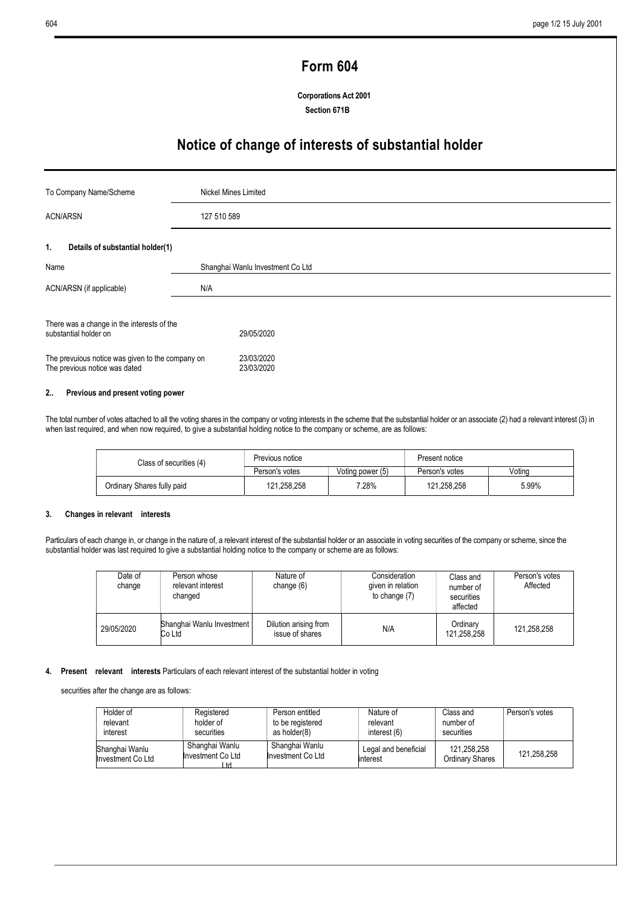# Form 604

Corporations Act 2001 Section 671B

## Notice of change of interests of substantial holder

| To Company Name/Scheme                                                                                                                                   | Nickel Mines Limited                   |  |
|----------------------------------------------------------------------------------------------------------------------------------------------------------|----------------------------------------|--|
| <b>ACN/ARSN</b>                                                                                                                                          | 127 510 589                            |  |
| Details of substantial holder(1)<br>1.                                                                                                                   |                                        |  |
| Name                                                                                                                                                     | Shanghai Wanlu Investment Co Ltd       |  |
| ACN/ARSN (if applicable)                                                                                                                                 | N/A                                    |  |
| There was a change in the interests of the<br>substantial holder on<br>The prevuious notice was given to the company on<br>The previous notice was dated | 29/05/2020<br>23/03/2020<br>23/03/2020 |  |

## 2.. Previous and present voting power

The total number of votes attached to all the voting shares in the company or voting interests in the scheme that the substantial holder or an associate (2) had a relevant interest (3) in when last required, and when now required, to give a substantial holding notice to the company or scheme, are as follows:

| Class of securities (4)    | Previous notice |                  | Present notice |        |
|----------------------------|-----------------|------------------|----------------|--------|
|                            | Person's votes  | Voting power (5) | Person's votes | Votina |
| Ordinary Shares fully paid | 121,258,258     | 7.28%            | 121.258.258    | 5.99%  |

#### 3. Changes in relevant interests

Particulars of each change in, or change in the nature of, a relevant interest of the substantial holder or an associate in voting securities of the company or scheme, since the substantial holder was last required to give a substantial holding notice to the company or scheme are as follows:

| Date of<br>change | Person whose<br>relevant interest<br>changed | Nature of<br>change $(6)$                | Consideration<br>given in relation<br>to change (7) | Class and<br>number of<br>securities<br>affected | Person's votes<br>Affected |
|-------------------|----------------------------------------------|------------------------------------------|-----------------------------------------------------|--------------------------------------------------|----------------------------|
| 29/05/2020        | Shanghai Wanlu Investment<br>Co Ltd          | Dilution arising from<br>issue of shares | N/A                                                 | Ordinary<br>121,258,258                          | 121,258,258                |

## 4. Present relevant interests Particulars of each relevant interest of the substantial holder in voting

securities after the change are as follows:

| Holder of<br>relevant               | Registered<br>holder of                   | Person entitled<br>to be registered | Nature of<br>relevant             | Class and<br>number of                | Person's votes |
|-------------------------------------|-------------------------------------------|-------------------------------------|-----------------------------------|---------------------------------------|----------------|
| interest                            | securities                                | as holder(8)                        | interest (6)                      | securities                            |                |
| Shanghai Wanlu<br>Investment Co Ltd | Shanghai Wanlu<br>Investment Co Ltd<br>td | Shanghai Wanlu<br>Investment Co Ltd | Legal and beneficial<br>linterest | 121,258,258<br><b>Ordinary Shares</b> | 121,258,258    |